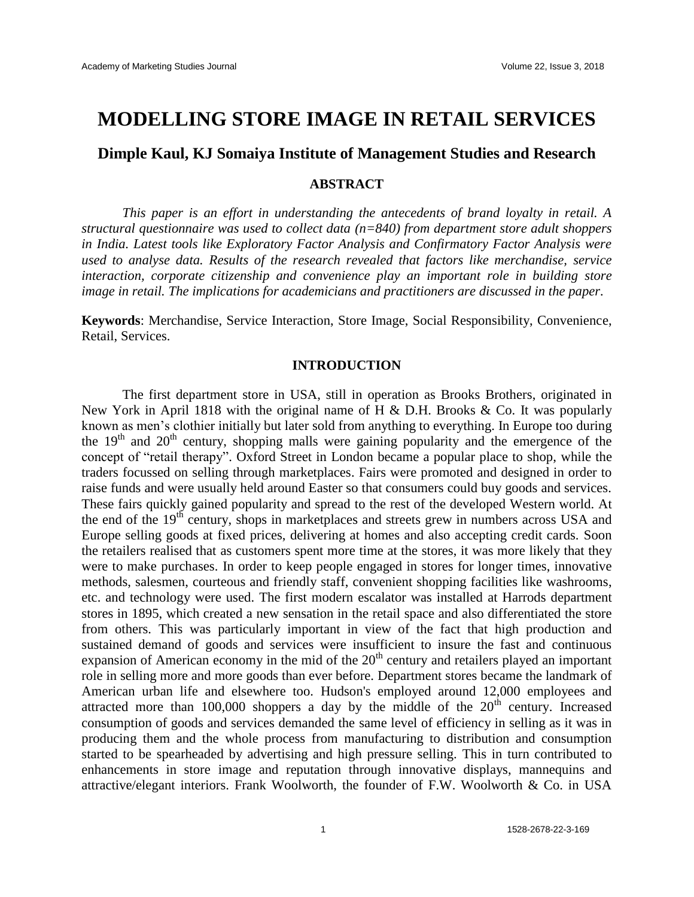# **MODELLING STORE IMAGE IN RETAIL SERVICES**

# **Dimple Kaul, KJ Somaiya Institute of Management Studies and Research**

# **ABSTRACT**

*This paper is an effort in understanding the antecedents of brand loyalty in retail. A structural questionnaire was used to collect data (n=840) from department store adult shoppers in India. Latest tools like Exploratory Factor Analysis and Confirmatory Factor Analysis were used to analyse data. Results of the research revealed that factors like merchandise, service interaction, corporate citizenship and convenience play an important role in building store image in retail. The implications for academicians and practitioners are discussed in the paper.*

**Keywords**: Merchandise, Service Interaction, Store Image, Social Responsibility, Convenience, Retail, Services.

# **INTRODUCTION**

The first department store in USA, still in operation as Brooks Brothers, originated in New York in April 1818 with the original name of H & D.H. Brooks & Co. It was popularly known as men's clothier initially but later sold from anything to everything. In Europe too during the  $19<sup>th</sup>$  and  $20<sup>th</sup>$  century, shopping malls were gaining popularity and the emergence of the concept of "retail therapy". Oxford Street in London became a popular place to shop, while the traders focussed on selling through marketplaces. Fairs were promoted and designed in order to raise funds and were usually held around Easter so that consumers could buy goods and services. These fairs quickly gained popularity and spread to the rest of the developed Western world. At the end of the  $19<sup>th</sup>$  century, shops in marketplaces and streets grew in numbers across USA and Europe selling goods at fixed prices, delivering at homes and also accepting credit cards. Soon the retailers realised that as customers spent more time at the stores, it was more likely that they were to make purchases. In order to keep people engaged in stores for longer times, innovative methods, salesmen, courteous and friendly staff, convenient shopping facilities like washrooms, etc. and technology were used. The first modern escalator was installed at Harrods department stores in 1895, which created a new sensation in the retail space and also differentiated the store from others. This was particularly important in view of the fact that high production and sustained demand of goods and services were insufficient to insure the fast and continuous expansion of American economy in the mid of the  $20<sup>th</sup>$  century and retailers played an important role in selling more and more goods than ever before. Department stores became the landmark of American urban life and elsewhere too. Hudson's employed around 12,000 employees and attracted more than  $100,000$  shoppers a day by the middle of the  $20<sup>th</sup>$  century. Increased consumption of goods and services demanded the same level of efficiency in selling as it was in producing them and the whole process from manufacturing to distribution and consumption started to be spearheaded by advertising and high pressure selling. This in turn contributed to enhancements in store image and reputation through innovative displays, mannequins and attractive/elegant interiors. Frank Woolworth, the founder of F.W. Woolworth & Co. in USA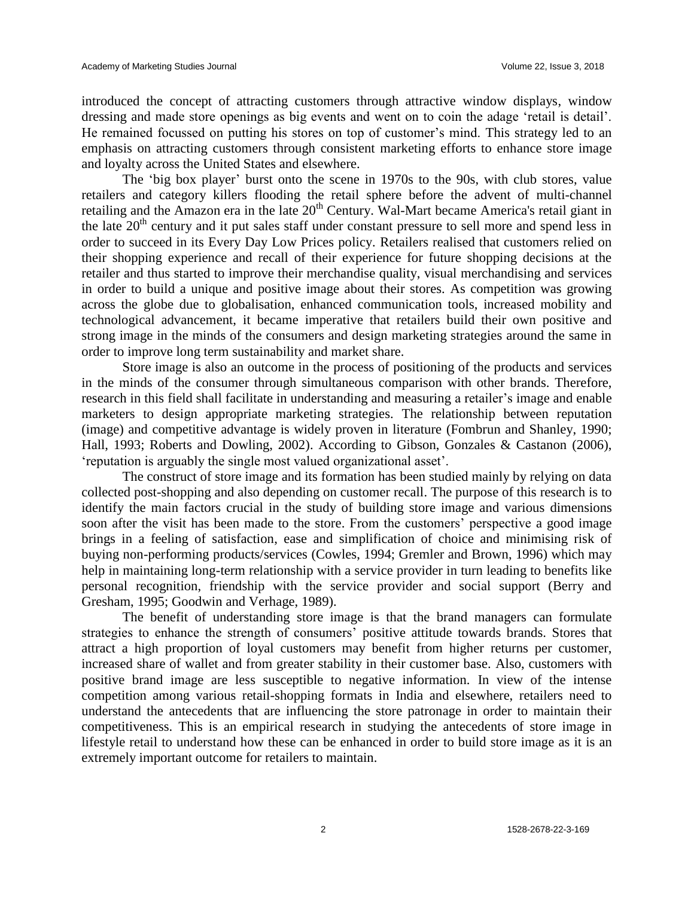introduced the concept of attracting customers through attractive window displays, window dressing and made store openings as big events and went on to coin the adage 'retail is detail'. He remained focussed on putting his stores on top of customer's mind. This strategy led to an emphasis on attracting customers through consistent marketing efforts to enhance store image and loyalty across the United States and elsewhere.

The 'big box player' burst onto the scene in 1970s to the 90s, with club stores, value retailers and category killers flooding the retail sphere before the advent of multi-channel retailing and the Amazon era in the late 20<sup>th</sup> Century. Wal-Mart became America's retail giant in the late 20<sup>th</sup> century and it put sales staff under constant pressure to sell more and spend less in order to succeed in its Every Day Low Prices policy. Retailers realised that customers relied on their shopping experience and recall of their experience for future shopping decisions at the retailer and thus started to improve their merchandise quality, visual merchandising and services in order to build a unique and positive image about their stores. As competition was growing across the globe due to globalisation, enhanced communication tools, increased mobility and technological advancement, it became imperative that retailers build their own positive and strong image in the minds of the consumers and design marketing strategies around the same in order to improve long term sustainability and market share.

Store image is also an outcome in the process of positioning of the products and services in the minds of the consumer through simultaneous comparison with other brands. Therefore, research in this field shall facilitate in understanding and measuring a retailer's image and enable marketers to design appropriate marketing strategies. The relationship between reputation (image) and competitive advantage is widely proven in literature (Fombrun and Shanley, 1990; Hall, 1993; Roberts and Dowling, 2002). According to Gibson, Gonzales & Castanon (2006), 'reputation is arguably the single most valued organizational asset'.

The construct of store image and its formation has been studied mainly by relying on data collected post-shopping and also depending on customer recall. The purpose of this research is to identify the main factors crucial in the study of building store image and various dimensions soon after the visit has been made to the store. From the customers' perspective a good image brings in a feeling of satisfaction, ease and simplification of choice and minimising risk of buying non-performing products/services (Cowles, 1994; Gremler and Brown, 1996) which may help in maintaining long-term relationship with a service provider in turn leading to benefits like personal recognition, friendship with the service provider and social support (Berry and Gresham, 1995; Goodwin and Verhage, 1989).

The benefit of understanding store image is that the brand managers can formulate strategies to enhance the strength of consumers' positive attitude towards brands. Stores that attract a high proportion of loyal customers may benefit from higher returns per customer, increased share of wallet and from greater stability in their customer base. Also, customers with positive brand image are less susceptible to negative information. In view of the intense competition among various retail-shopping formats in India and elsewhere, retailers need to understand the antecedents that are influencing the store patronage in order to maintain their competitiveness. This is an empirical research in studying the antecedents of store image in lifestyle retail to understand how these can be enhanced in order to build store image as it is an extremely important outcome for retailers to maintain.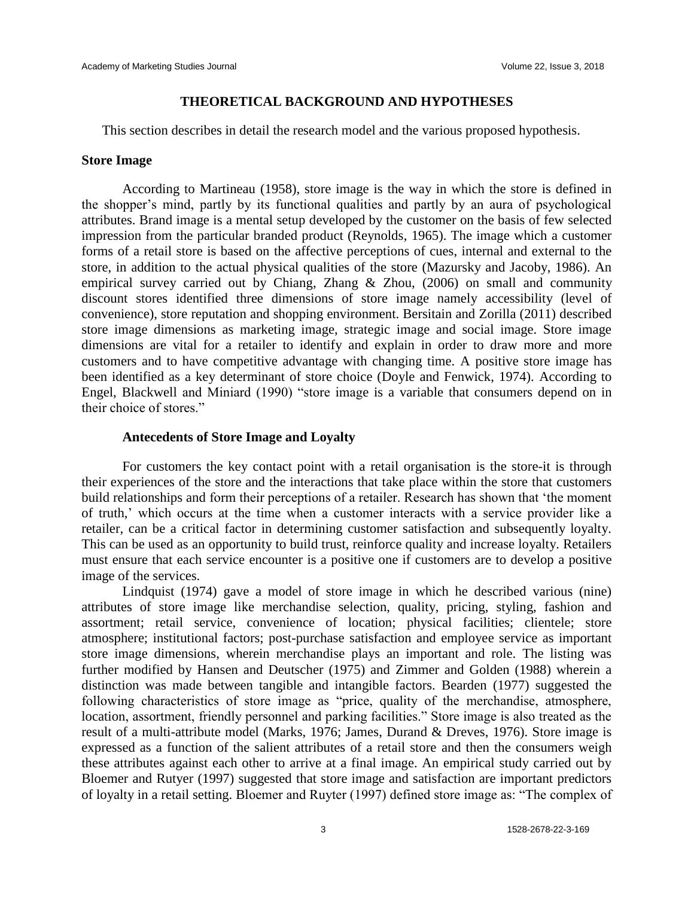#### **THEORETICAL BACKGROUND AND HYPOTHESES**

This section describes in detail the research model and the various proposed hypothesis.

# **Store Image**

According to Martineau (1958), store image is the way in which the store is defined in the shopper's mind, partly by its functional qualities and partly by an aura of psychological attributes. Brand image is a mental setup developed by the customer on the basis of few selected impression from the particular branded product (Reynolds, 1965). The image which a customer forms of a retail store is based on the affective perceptions of cues, internal and external to the store, in addition to the actual physical qualities of the store (Mazursky and Jacoby, 1986). An empirical survey carried out by Chiang, Zhang & Zhou, (2006) on small and community discount stores identified three dimensions of store image namely accessibility (level of convenience), store reputation and shopping environment. Bersitain and Zorilla (2011) described store image dimensions as marketing image, strategic image and social image. Store image dimensions are vital for a retailer to identify and explain in order to draw more and more customers and to have competitive advantage with changing time. A positive store image has been identified as a key determinant of store choice (Doyle and Fenwick, 1974). According to Engel, Blackwell and Miniard (1990) "store image is a variable that consumers depend on in their choice of stores."

# **Antecedents of Store Image and Loyalty**

For customers the key contact point with a retail organisation is the store-it is through their experiences of the store and the interactions that take place within the store that customers build relationships and form their perceptions of a retailer. Research has shown that 'the moment of truth,' which occurs at the time when a customer interacts with a service provider like a retailer, can be a critical factor in determining customer satisfaction and subsequently loyalty. This can be used as an opportunity to build trust, reinforce quality and increase loyalty. Retailers must ensure that each service encounter is a positive one if customers are to develop a positive image of the services.

Lindquist (1974) gave a model of store image in which he described various (nine) attributes of store image like merchandise selection, quality, pricing, styling, fashion and assortment; retail service, convenience of location; physical facilities; clientele; store atmosphere; institutional factors; post-purchase satisfaction and employee service as important store image dimensions, wherein merchandise plays an important and role. The listing was further modified by Hansen and Deutscher (1975) and Zimmer and Golden (1988) wherein a distinction was made between tangible and intangible factors. Bearden (1977) suggested the following characteristics of store image as "price, quality of the merchandise, atmosphere, location, assortment, friendly personnel and parking facilities." Store image is also treated as the result of a multi-attribute model (Marks, 1976; James, Durand & Dreves, 1976). Store image is expressed as a function of the salient attributes of a retail store and then the consumers weigh these attributes against each other to arrive at a final image. An empirical study carried out by Bloemer and Rutyer (1997) suggested that store image and satisfaction are important predictors of loyalty in a retail setting. Bloemer and Ruyter (1997) defined store image as: "The complex of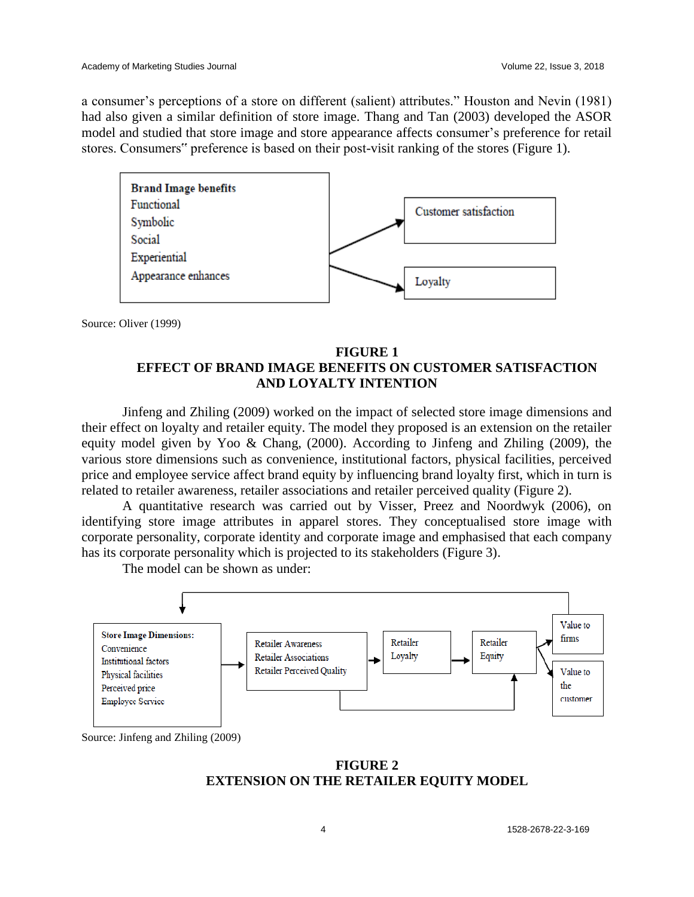a consumer's perceptions of a store on different (salient) attributes." Houston and Nevin (1981) had also given a similar definition of store image. Thang and Tan (2003) developed the ASOR model and studied that store image and store appearance affects consumer's preference for retail stores. Consumers" preference is based on their post-visit ranking of the stores (Figure 1).



Source: Oliver (1999)

# **FIGURE 1 EFFECT OF BRAND IMAGE BENEFITS ON CUSTOMER SATISFACTION AND LOYALTY INTENTION**

Jinfeng and Zhiling (2009) worked on the impact of selected store image dimensions and their effect on loyalty and retailer equity. The model they proposed is an extension on the retailer equity model given by Yoo & Chang, (2000). According to Jinfeng and Zhiling (2009), the various store dimensions such as convenience, institutional factors, physical facilities, perceived price and employee service affect brand equity by influencing brand loyalty first, which in turn is related to retailer awareness, retailer associations and retailer perceived quality (Figure 2).

A quantitative research was carried out by Visser, Preez and Noordwyk (2006), on identifying store image attributes in apparel stores. They conceptualised store image with corporate personality, corporate identity and corporate image and emphasised that each company has its corporate personality which is projected to its stakeholders (Figure 3).

The model can be shown as under:



Source: Jinfeng and Zhiling (2009)

**FIGURE 2 EXTENSION ON THE RETAILER EQUITY MODEL**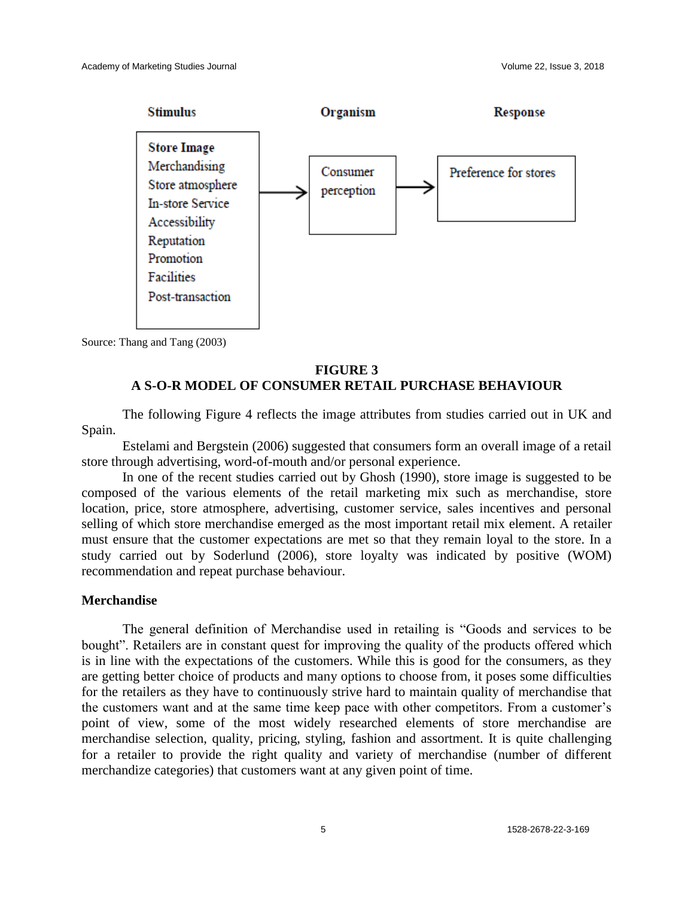

Source: Thang and Tang (2003)

# **FIGURE 3 A S-O-R MODEL OF CONSUMER RETAIL PURCHASE BEHAVIOUR**

The following Figure 4 reflects the image attributes from studies carried out in UK and Spain.

Estelami and Bergstein (2006) suggested that consumers form an overall image of a retail store through advertising, word-of-mouth and/or personal experience.

In one of the recent studies carried out by Ghosh (1990), store image is suggested to be composed of the various elements of the retail marketing mix such as merchandise, store location, price, store atmosphere, advertising, customer service, sales incentives and personal selling of which store merchandise emerged as the most important retail mix element. A retailer must ensure that the customer expectations are met so that they remain loyal to the store. In a study carried out by Soderlund (2006), store loyalty was indicated by positive (WOM) recommendation and repeat purchase behaviour.

#### **Merchandise**

The general definition of Merchandise used in retailing is "Goods and services to be bought". Retailers are in constant quest for improving the quality of the products offered which is in line with the expectations of the customers. While this is good for the consumers, as they are getting better choice of products and many options to choose from, it poses some difficulties for the retailers as they have to continuously strive hard to maintain quality of merchandise that the customers want and at the same time keep pace with other competitors. From a customer's point of view, some of the most widely researched elements of store merchandise are merchandise selection, quality, pricing, styling, fashion and assortment. It is quite challenging for a retailer to provide the right quality and variety of merchandise (number of different merchandize categories) that customers want at any given point of time.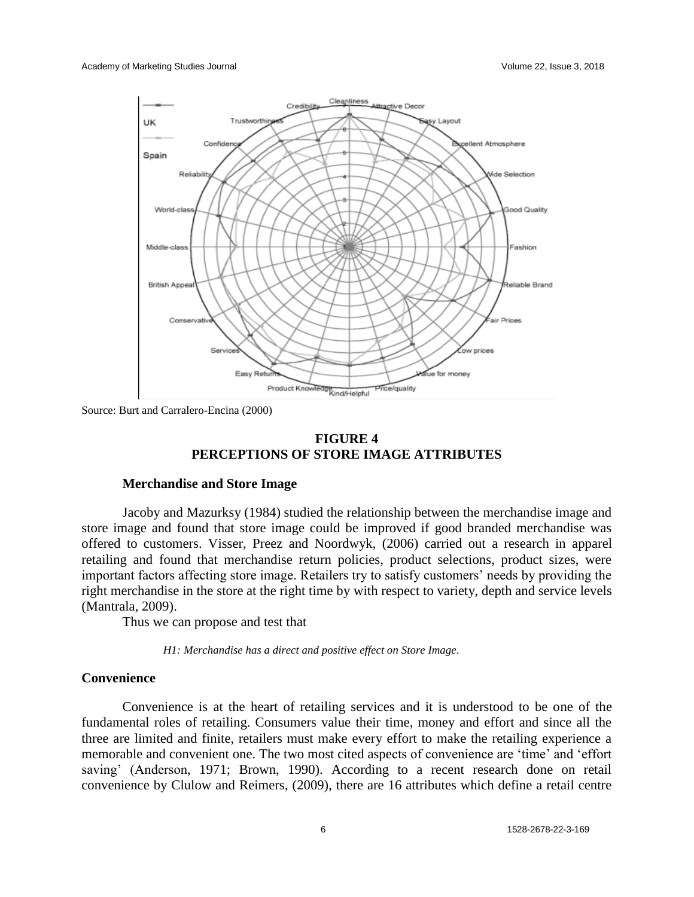

Source: Burt and Carralero-Encina (2000)

# **FIGURE 4 PERCEPTIONS OF STORE IMAGE ATTRIBUTES**

#### **Merchandise and Store Image**

Jacoby and Mazurksy (1984) studied the relationship between the merchandise image and store image and found that store image could be improved if good branded merchandise was offered to customers. Visser, Preez and Noordwyk, (2006) carried out a research in apparel retailing and found that merchandise return policies, product selections, product sizes, were important factors affecting store image. Retailers try to satisfy customers' needs by providing the right merchandise in the store at the right time by with respect to variety, depth and service levels (Mantrala, 2009).

Thus we can propose and test that

*H1: Merchandise has a direct and positive effect on Store Image.*

# **Convenience**

Convenience is at the heart of retailing services and it is understood to be one of the fundamental roles of retailing. Consumers value their time, money and effort and since all the three are limited and finite, retailers must make every effort to make the retailing experience a memorable and convenient one. The two most cited aspects of convenience are 'time' and 'effort saving' (Anderson, 1971; Brown, 1990). According to a recent research done on retail convenience by Clulow and Reimers, (2009), there are 16 attributes which define a retail centre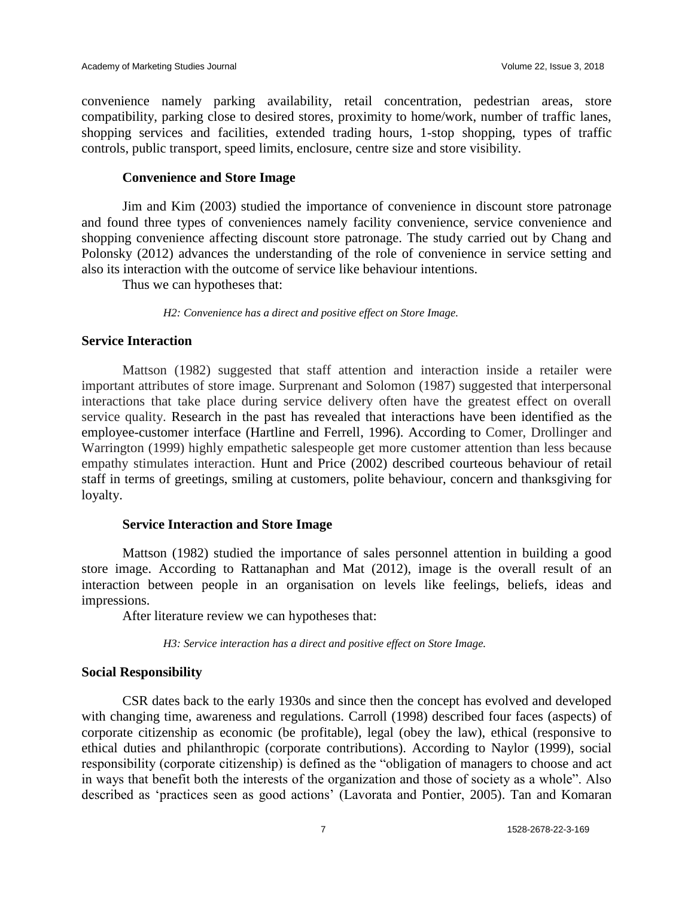convenience namely parking availability, retail concentration, pedestrian areas, store compatibility, parking close to desired stores, proximity to home/work, number of traffic lanes, shopping services and facilities, extended trading hours, 1-stop shopping, types of traffic controls, public transport, speed limits, enclosure, centre size and store visibility.

# **Convenience and Store Image**

Jim and Kim (2003) studied the importance of convenience in discount store patronage and found three types of conveniences namely facility convenience, service convenience and shopping convenience affecting discount store patronage. The study carried out by Chang and Polonsky (2012) advances the understanding of the role of convenience in service setting and also its interaction with the outcome of service like behaviour intentions.

Thus we can hypotheses that:

*H2: Convenience has a direct and positive effect on Store Image.*

#### **Service Interaction**

Mattson (1982) suggested that staff attention and interaction inside a retailer were important attributes of store image. Surprenant and Solomon (1987) suggested that interpersonal interactions that take place during service delivery often have the greatest effect on overall service quality. Research in the past has revealed that interactions have been identified as the employee-customer interface (Hartline and Ferrell, 1996). According to Comer, Drollinger and Warrington (1999) highly empathetic salespeople get more customer attention than less because empathy stimulates interaction. Hunt and Price (2002) described courteous behaviour of retail staff in terms of greetings, smiling at customers, polite behaviour, concern and thanksgiving for loyalty.

# **Service Interaction and Store Image**

Mattson (1982) studied the importance of sales personnel attention in building a good store image. According to Rattanaphan and Mat (2012), image is the overall result of an interaction between people in an organisation on levels like feelings, beliefs, ideas and impressions.

After literature review we can hypotheses that:

*H3: Service interaction has a direct and positive effect on Store Image.*

# **Social Responsibility**

CSR dates back to the early 1930s and since then the concept has evolved and developed with changing time, awareness and regulations. Carroll (1998) described four faces (aspects) of corporate citizenship as economic (be profitable), legal (obey the law), ethical (responsive to ethical duties and philanthropic (corporate contributions). According to Naylor (1999), social responsibility (corporate citizenship) is defined as the "obligation of managers to choose and act in ways that benefit both the interests of the organization and those of society as a whole". Also described as 'practices seen as good actions' (Lavorata and Pontier, 2005). Tan and Komaran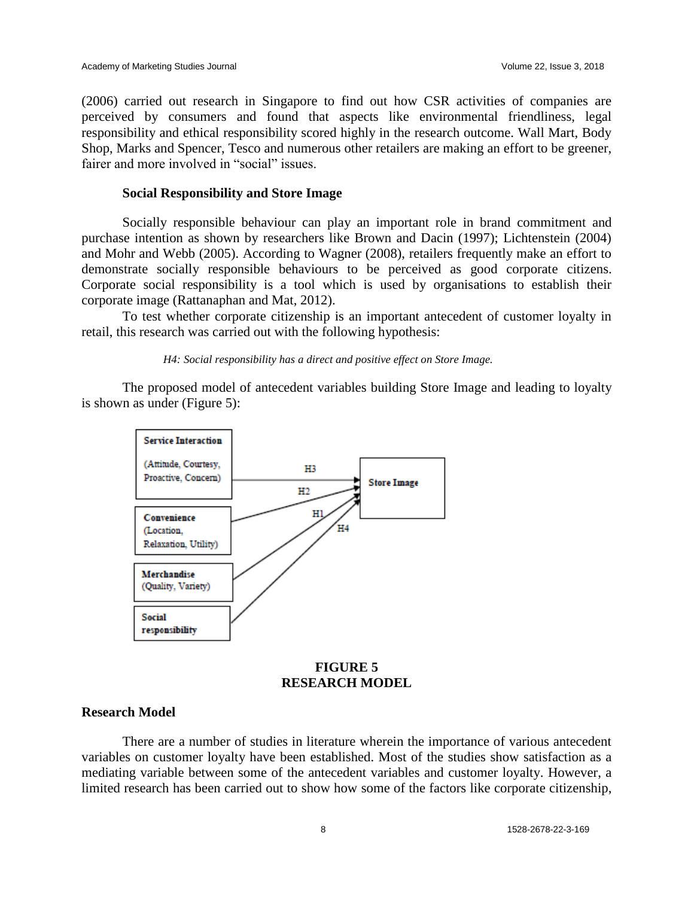(2006) carried out research in Singapore to find out how CSR activities of companies are perceived by consumers and found that aspects like environmental friendliness, legal responsibility and ethical responsibility scored highly in the research outcome. Wall Mart, Body Shop, Marks and Spencer, Tesco and numerous other retailers are making an effort to be greener, fairer and more involved in "social" issues.

# **Social Responsibility and Store Image**

Socially responsible behaviour can play an important role in brand commitment and purchase intention as shown by researchers like Brown and Dacin (1997); Lichtenstein (2004) and Mohr and Webb (2005). According to Wagner (2008), retailers frequently make an effort to demonstrate socially responsible behaviours to be perceived as good corporate citizens. Corporate social responsibility is a tool which is used by organisations to establish their corporate image (Rattanaphan and Mat, 2012).

To test whether corporate citizenship is an important antecedent of customer loyalty in retail, this research was carried out with the following hypothesis:

*H4: Social responsibility has a direct and positive effect on Store Image.*

The proposed model of antecedent variables building Store Image and leading to loyalty is shown as under (Figure 5):



# **FIGURE 5 RESEARCH MODEL**

# **Research Model**

There are a number of studies in literature wherein the importance of various antecedent variables on customer loyalty have been established. Most of the studies show satisfaction as a mediating variable between some of the antecedent variables and customer loyalty. However, a limited research has been carried out to show how some of the factors like corporate citizenship,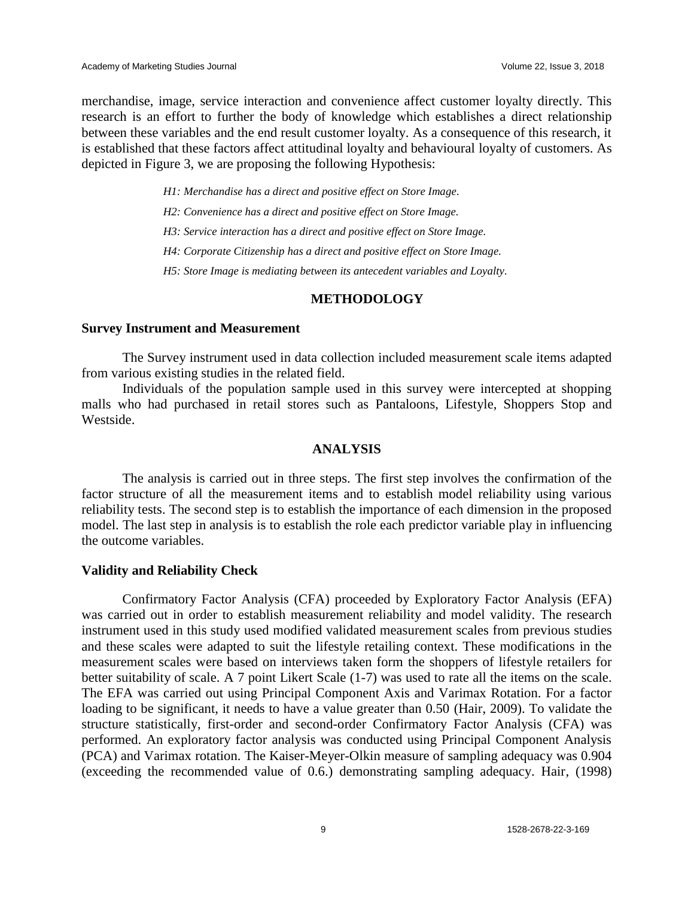merchandise, image, service interaction and convenience affect customer loyalty directly. This research is an effort to further the body of knowledge which establishes a direct relationship between these variables and the end result customer loyalty. As a consequence of this research, it is established that these factors affect attitudinal loyalty and behavioural loyalty of customers. As depicted in Figure 3, we are proposing the following Hypothesis:

*H1: Merchandise has a direct and positive effect on Store Image.*

*H2: Convenience has a direct and positive effect on Store Image.*

*H3: Service interaction has a direct and positive effect on Store Image.*

*H4: Corporate Citizenship has a direct and positive effect on Store Image.*

*H5: Store Image is mediating between its antecedent variables and Loyalty.*

# **METHODOLOGY**

#### **Survey Instrument and Measurement**

The Survey instrument used in data collection included measurement scale items adapted from various existing studies in the related field.

Individuals of the population sample used in this survey were intercepted at shopping malls who had purchased in retail stores such as Pantaloons, Lifestyle, Shoppers Stop and Westside.

#### **ANALYSIS**

The analysis is carried out in three steps. The first step involves the confirmation of the factor structure of all the measurement items and to establish model reliability using various reliability tests. The second step is to establish the importance of each dimension in the proposed model. The last step in analysis is to establish the role each predictor variable play in influencing the outcome variables.

#### **Validity and Reliability Check**

Confirmatory Factor Analysis (CFA) proceeded by Exploratory Factor Analysis (EFA) was carried out in order to establish measurement reliability and model validity. The research instrument used in this study used modified validated measurement scales from previous studies and these scales were adapted to suit the lifestyle retailing context. These modifications in the measurement scales were based on interviews taken form the shoppers of lifestyle retailers for better suitability of scale. A 7 point Likert Scale (1-7) was used to rate all the items on the scale. The EFA was carried out using Principal Component Axis and Varimax Rotation. For a factor loading to be significant, it needs to have a value greater than 0.50 (Hair, 2009). To validate the structure statistically, first-order and second-order Confirmatory Factor Analysis (CFA) was performed. An exploratory factor analysis was conducted using Principal Component Analysis (PCA) and Varimax rotation. The Kaiser-Meyer-Olkin measure of sampling adequacy was 0.904 (exceeding the recommended value of 0.6.) demonstrating sampling adequacy. Hair, (1998)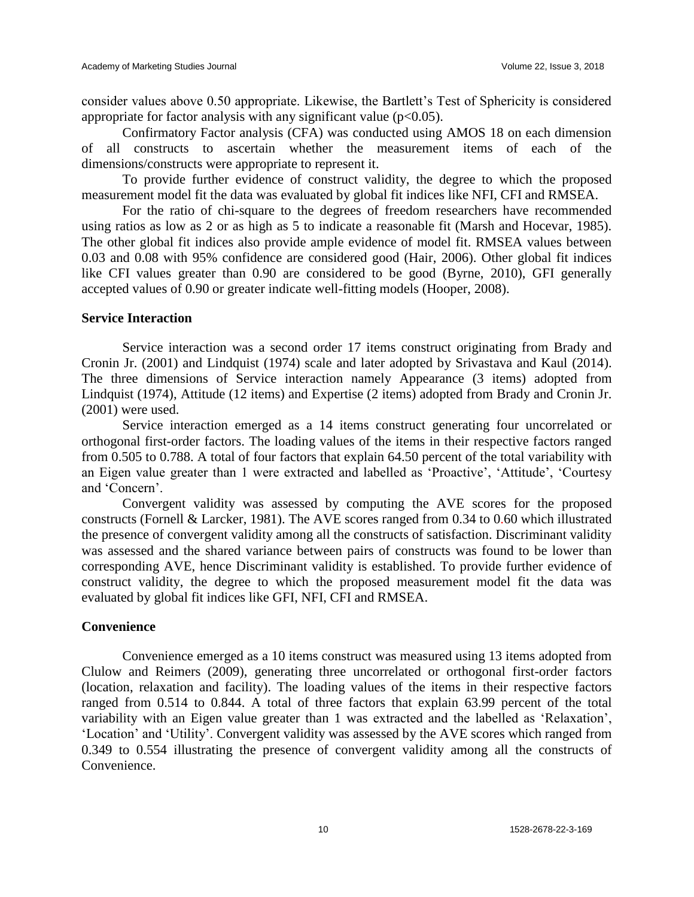consider values above 0.50 appropriate. Likewise, the Bartlett's Test of Sphericity is considered appropriate for factor analysis with any significant value  $(p<0.05)$ .

Confirmatory Factor analysis (CFA) was conducted using AMOS 18 on each dimension of all constructs to ascertain whether the measurement items of each of the dimensions/constructs were appropriate to represent it.

To provide further evidence of construct validity, the degree to which the proposed measurement model fit the data was evaluated by global fit indices like NFI, CFI and RMSEA.

For the ratio of chi-square to the degrees of freedom researchers have recommended using ratios as low as 2 or as high as 5 to indicate a reasonable fit (Marsh and Hocevar, 1985). The other global fit indices also provide ample evidence of model fit. RMSEA values between 0.03 and 0.08 with 95% confidence are considered good (Hair, 2006). Other global fit indices like CFI values greater than 0.90 are considered to be good (Byrne, 2010), GFI generally accepted values of 0.90 or greater indicate well-fitting models (Hooper, 2008).

#### **Service Interaction**

Service interaction was a second order 17 items construct originating from Brady and Cronin Jr. (2001) and Lindquist (1974) scale and later adopted by Srivastava and Kaul (2014). The three dimensions of Service interaction namely Appearance (3 items) adopted from Lindquist (1974), Attitude (12 items) and Expertise (2 items) adopted from Brady and Cronin Jr. (2001) were used.

Service interaction emerged as a 14 items construct generating four uncorrelated or orthogonal first-order factors. The loading values of the items in their respective factors ranged from 0.505 to 0.788. A total of four factors that explain 64.50 percent of the total variability with an Eigen value greater than 1 were extracted and labelled as 'Proactive', 'Attitude', 'Courtesy and 'Concern'.

Convergent validity was assessed by computing the AVE scores for the proposed constructs (Fornell & Larcker, 1981). The AVE scores ranged from 0.34 to 0.60 which illustrated the presence of convergent validity among all the constructs of satisfaction. Discriminant validity was assessed and the shared variance between pairs of constructs was found to be lower than corresponding AVE, hence Discriminant validity is established. To provide further evidence of construct validity, the degree to which the proposed measurement model fit the data was evaluated by global fit indices like GFI, NFI, CFI and RMSEA.

# **Convenience**

Convenience emerged as a 10 items construct was measured using 13 items adopted from Clulow and Reimers (2009), generating three uncorrelated or orthogonal first-order factors (location, relaxation and facility). The loading values of the items in their respective factors ranged from 0.514 to 0.844. A total of three factors that explain 63.99 percent of the total variability with an Eigen value greater than 1 was extracted and the labelled as 'Relaxation', 'Location' and 'Utility'. Convergent validity was assessed by the AVE scores which ranged from 0.349 to 0.554 illustrating the presence of convergent validity among all the constructs of Convenience.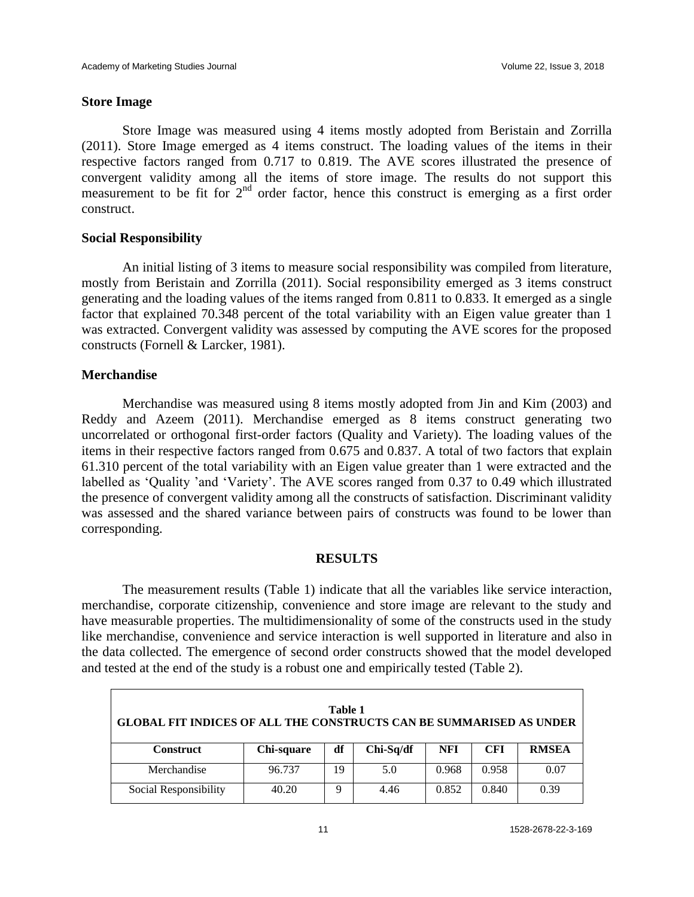# **Store Image**

Store Image was measured using 4 items mostly adopted from Beristain and Zorrilla (2011). Store Image emerged as 4 items construct. The loading values of the items in their respective factors ranged from 0.717 to 0.819. The AVE scores illustrated the presence of convergent validity among all the items of store image. The results do not support this measurement to be fit for  $2<sup>nd</sup>$  order factor, hence this construct is emerging as a first order construct.

# **Social Responsibility**

An initial listing of 3 items to measure social responsibility was compiled from literature, mostly from Beristain and Zorrilla (2011). Social responsibility emerged as 3 items construct generating and the loading values of the items ranged from 0.811 to 0.833. It emerged as a single factor that explained 70.348 percent of the total variability with an Eigen value greater than 1 was extracted. Convergent validity was assessed by computing the AVE scores for the proposed constructs (Fornell & Larcker, 1981).

# **Merchandise**

Merchandise was measured using 8 items mostly adopted from Jin and Kim (2003) and Reddy and Azeem (2011). Merchandise emerged as 8 items construct generating two uncorrelated or orthogonal first-order factors (Quality and Variety). The loading values of the items in their respective factors ranged from 0.675 and 0.837. A total of two factors that explain 61.310 percent of the total variability with an Eigen value greater than 1 were extracted and the labelled as 'Quality 'and 'Variety'. The AVE scores ranged from 0.37 to 0.49 which illustrated the presence of convergent validity among all the constructs of satisfaction. Discriminant validity was assessed and the shared variance between pairs of constructs was found to be lower than corresponding.

# **RESULTS**

The measurement results (Table 1) indicate that all the variables like service interaction, merchandise, corporate citizenship, convenience and store image are relevant to the study and have measurable properties. The multidimensionality of some of the constructs used in the study like merchandise, convenience and service interaction is well supported in literature and also in the data collected. The emergence of second order constructs showed that the model developed and tested at the end of the study is a robust one and empirically tested (Table 2).

| Table 1<br><b>GLOBAL FIT INDICES OF ALL THE CONSTRUCTS CAN BE SUMMARISED AS UNDER</b> |            |    |             |            |            |              |  |  |  |
|---------------------------------------------------------------------------------------|------------|----|-------------|------------|------------|--------------|--|--|--|
| <b>Construct</b>                                                                      | Chi-square | df | $Chi-Sq/df$ | <b>NFI</b> | <b>CFI</b> | <b>RMSEA</b> |  |  |  |
| Merchandise                                                                           | 96.737     | 19 | 5.0         | 0.968      | 0.958      | 0.07         |  |  |  |
| Social Responsibility                                                                 | 40.20      | Q  | 4.46        | 0.852      | 0.840      | 0.39         |  |  |  |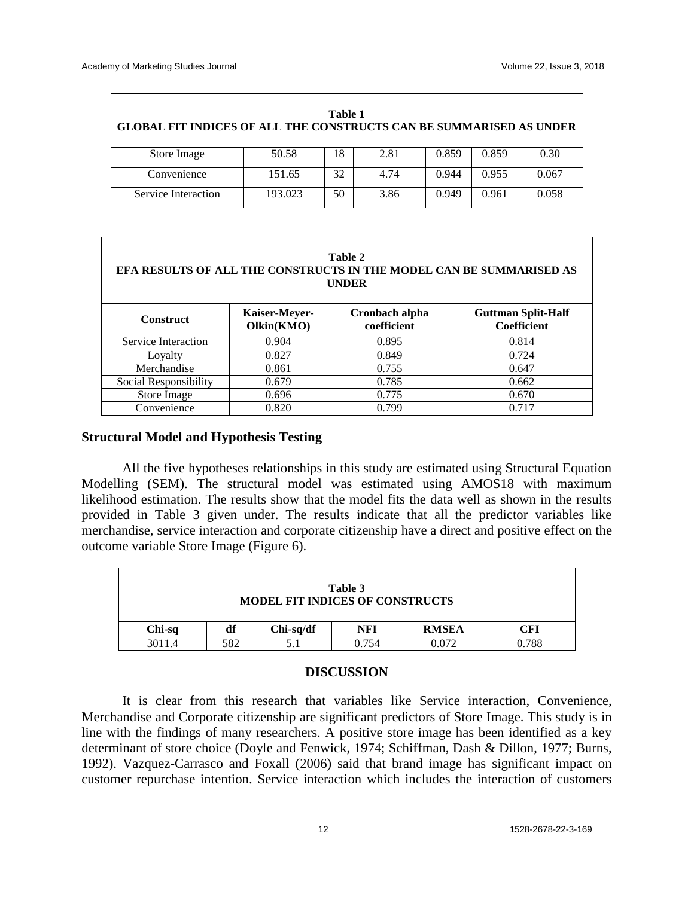| Table 1<br><b>GLOBAL FIT INDICES OF ALL THE CONSTRUCTS CAN BE SUMMARISED AS UNDER</b> |         |    |      |       |       |       |  |  |  |  |
|---------------------------------------------------------------------------------------|---------|----|------|-------|-------|-------|--|--|--|--|
| Store Image                                                                           | 50.58   | 18 | 2.81 | 0.859 | 0.859 | 0.30  |  |  |  |  |
| Convenience                                                                           | 151.65  | 32 | 4.74 | 0.944 | 0.955 | 0.067 |  |  |  |  |
| Service Interaction                                                                   | 193.023 | 50 | 3.86 | 0.949 | 0.961 | 0.058 |  |  |  |  |

| Table 2<br>EFA RESULTS OF ALL THE CONSTRUCTS IN THE MODEL CAN BE SUMMARISED AS<br><b>UNDER</b> |                             |                               |                                                 |  |  |  |  |  |  |
|------------------------------------------------------------------------------------------------|-----------------------------|-------------------------------|-------------------------------------------------|--|--|--|--|--|--|
| <b>Construct</b>                                                                               | Kaiser-Meyer-<br>Olkin(KMO) | Cronbach alpha<br>coefficient | <b>Guttman Split-Half</b><br><b>Coefficient</b> |  |  |  |  |  |  |
| Service Interaction                                                                            | 0.904                       | 0.895                         | 0.814                                           |  |  |  |  |  |  |
| Loyalty                                                                                        | 0.827                       | 0.849                         | 0.724                                           |  |  |  |  |  |  |
| Merchandise                                                                                    | 0.861                       | 0.755                         | 0.647                                           |  |  |  |  |  |  |
| Social Responsibility                                                                          | 0.679                       | 0.785                         | 0.662                                           |  |  |  |  |  |  |
| Store Image                                                                                    | 0.696                       | 0.775                         | 0.670                                           |  |  |  |  |  |  |
| Convenience                                                                                    | 0.820                       | 0.799                         | 0.717                                           |  |  |  |  |  |  |

#### **Structural Model and Hypothesis Testing**

All the five hypotheses relationships in this study are estimated using Structural Equation Modelling (SEM). The structural model was estimated using AMOS18 with maximum likelihood estimation. The results show that the model fits the data well as shown in the results provided in Table 3 given under. The results indicate that all the predictor variables like merchandise, service interaction and corporate citizenship have a direct and positive effect on the outcome variable Store Image (Figure 6).

| Table 3<br><b>MODEL FIT INDICES OF CONSTRUCTS</b> |     |             |       |              |       |  |  |
|---------------------------------------------------|-----|-------------|-------|--------------|-------|--|--|
| Chi-sq                                            | df  | $Chi-sq/df$ | NFI   | <b>RMSEA</b> | CFI   |  |  |
| 3011.4                                            | 582 |             | 0.754 | 0.072        | 0.788 |  |  |

#### **DISCUSSION**

It is clear from this research that variables like Service interaction, Convenience, Merchandise and Corporate citizenship are significant predictors of Store Image. This study is in line with the findings of many researchers. A positive store image has been identified as a key determinant of store choice (Doyle and Fenwick, 1974; Schiffman, Dash & Dillon, 1977; Burns, 1992). Vazquez-Carrasco and Foxall (2006) said that brand image has significant impact on customer repurchase intention. Service interaction which includes the interaction of customers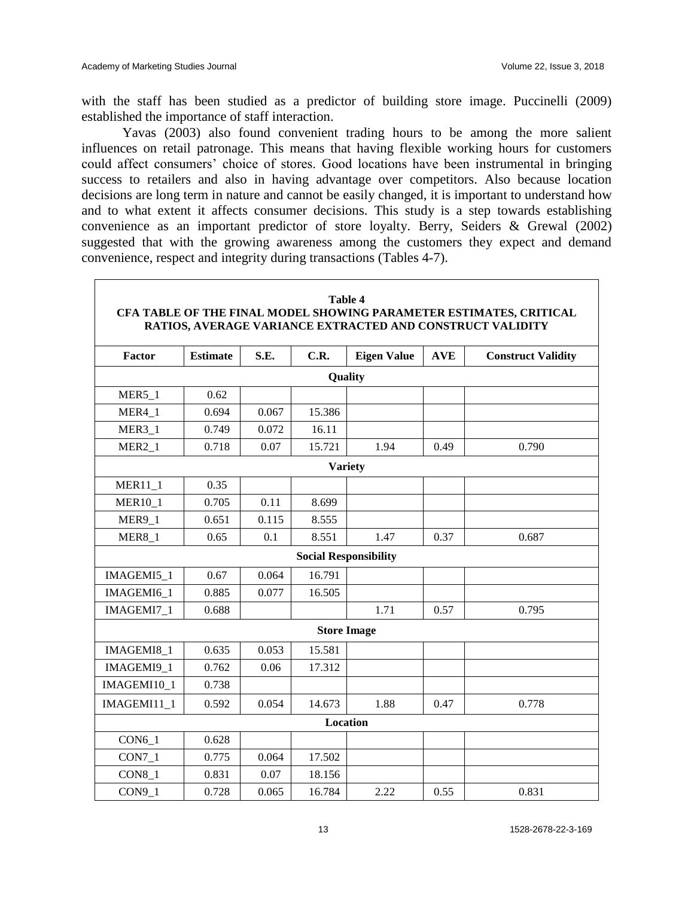with the staff has been studied as a predictor of building store image. Puccinelli (2009) established the importance of staff interaction.

Yavas (2003) also found convenient trading hours to be among the more salient influences on retail patronage. This means that having flexible working hours for customers could affect consumers' choice of stores. Good locations have been instrumental in bringing success to retailers and also in having advantage over competitors. Also because location decisions are long term in nature and cannot be easily changed, it is important to understand how and to what extent it affects consumer decisions. This study is a step towards establishing convenience as an important predictor of store loyalty. Berry, Seiders & Grewal (2002) suggested that with the growing awareness among the customers they expect and demand convenience, respect and integrity during transactions (Tables 4-7).

| Table 4<br>CFA TABLE OF THE FINAL MODEL SHOWING PARAMETER ESTIMATES, CRITICAL<br>RATIOS, AVERAGE VARIANCE EXTRACTED AND CONSTRUCT VALIDITY |                 |       |                    |                              |            |                           |  |  |  |  |  |
|--------------------------------------------------------------------------------------------------------------------------------------------|-----------------|-------|--------------------|------------------------------|------------|---------------------------|--|--|--|--|--|
| Factor                                                                                                                                     | <b>Estimate</b> | S.E.  | C.R.               | <b>Eigen Value</b>           | <b>AVE</b> | <b>Construct Validity</b> |  |  |  |  |  |
|                                                                                                                                            | Quality         |       |                    |                              |            |                           |  |  |  |  |  |
| <b>MER5 1</b>                                                                                                                              | 0.62            |       |                    |                              |            |                           |  |  |  |  |  |
| MER4 1                                                                                                                                     | 0.694           | 0.067 | 15.386             |                              |            |                           |  |  |  |  |  |
| $MER3_1$                                                                                                                                   | 0.749           | 0.072 | 16.11              |                              |            |                           |  |  |  |  |  |
| MER <sub>2</sub> 1                                                                                                                         | 0.718           | 0.07  | 15.721             | 1.94                         | 0.49       | 0.790                     |  |  |  |  |  |
|                                                                                                                                            |                 |       |                    | <b>Variety</b>               |            |                           |  |  |  |  |  |
| <b>MER11_1</b>                                                                                                                             | 0.35            |       |                    |                              |            |                           |  |  |  |  |  |
| <b>MER10_1</b>                                                                                                                             | 0.705           | 0.11  | 8.699              |                              |            |                           |  |  |  |  |  |
| <b>MER9_1</b>                                                                                                                              | 0.651           | 0.115 | 8.555              |                              |            |                           |  |  |  |  |  |
| <b>MER8_1</b>                                                                                                                              | 0.65            | 0.1   | 8.551              | 1.47                         | 0.37       | 0.687                     |  |  |  |  |  |
|                                                                                                                                            |                 |       |                    | <b>Social Responsibility</b> |            |                           |  |  |  |  |  |
| IMAGEMI5_1                                                                                                                                 | 0.67            | 0.064 | 16.791             |                              |            |                           |  |  |  |  |  |
| IMAGEMI6 1                                                                                                                                 | 0.885           | 0.077 | 16.505             |                              |            |                           |  |  |  |  |  |
| IMAGEMI7 1                                                                                                                                 | 0.688           |       |                    | 1.71                         | 0.57       | 0.795                     |  |  |  |  |  |
|                                                                                                                                            |                 |       | <b>Store Image</b> |                              |            |                           |  |  |  |  |  |
| IMAGEMI8_1                                                                                                                                 | 0.635           | 0.053 | 15.581             |                              |            |                           |  |  |  |  |  |
| IMAGEMI9 1                                                                                                                                 | 0.762           | 0.06  | 17.312             |                              |            |                           |  |  |  |  |  |
| IMAGEMI10 1                                                                                                                                | 0.738           |       |                    |                              |            |                           |  |  |  |  |  |
| IMAGEMI11_1                                                                                                                                | 0.592           | 0.054 | 14.673             | 1.88                         | 0.47       | 0.778                     |  |  |  |  |  |
|                                                                                                                                            |                 |       | <b>Location</b>    |                              |            |                           |  |  |  |  |  |
| $CON6_1$                                                                                                                                   | 0.628           |       |                    |                              |            |                           |  |  |  |  |  |
| $CON7_1$                                                                                                                                   | 0.775           | 0.064 | 17.502             |                              |            |                           |  |  |  |  |  |
| $CON8_1$                                                                                                                                   | 0.831           | 0.07  | 18.156             |                              |            |                           |  |  |  |  |  |
| CON9 1                                                                                                                                     | 0.728           | 0.065 | 16.784             | 2.22                         | 0.55       | 0.831                     |  |  |  |  |  |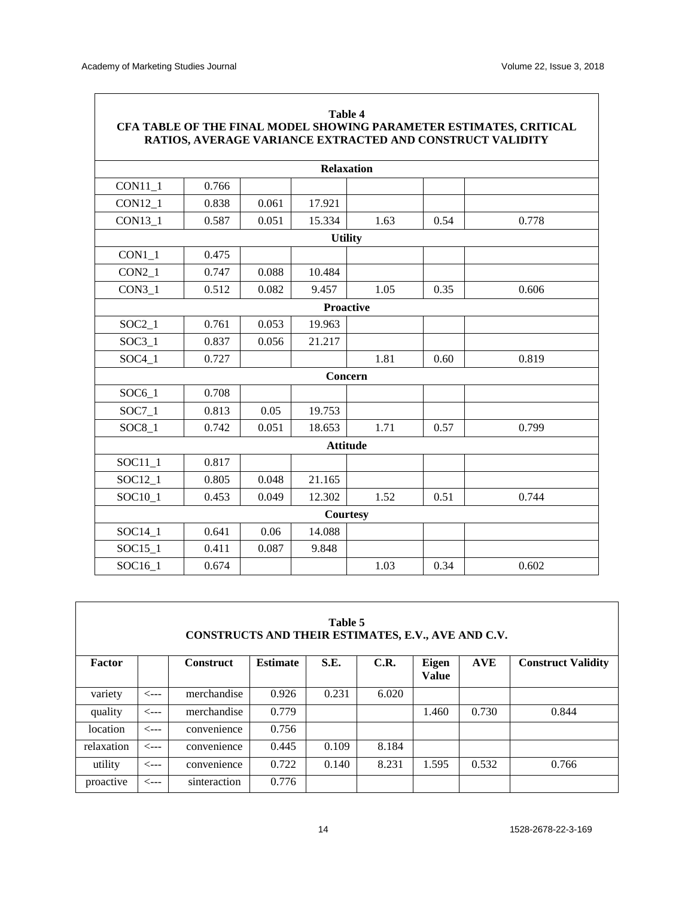| CFA TABLE OF THE FINAL MODEL SHOWING PARAMETER ESTIMATES, CRITICAL<br>RATIOS, AVERAGE VARIANCE EXTRACTED AND CONSTRUCT VALIDITY |                  |       |                 |      |      |       |  |  |  |  |
|---------------------------------------------------------------------------------------------------------------------------------|------------------|-------|-----------------|------|------|-------|--|--|--|--|
| <b>Relaxation</b>                                                                                                               |                  |       |                 |      |      |       |  |  |  |  |
| CON11_1                                                                                                                         | 0.766            |       |                 |      |      |       |  |  |  |  |
| <b>CON12 1</b>                                                                                                                  | 0.838            | 0.061 | 17.921          |      |      |       |  |  |  |  |
| <b>CON13 1</b>                                                                                                                  | 0.587            | 0.051 | 15.334          | 1.63 | 0.54 | 0.778 |  |  |  |  |
|                                                                                                                                 | <b>Utility</b>   |       |                 |      |      |       |  |  |  |  |
| $CON1_1$                                                                                                                        | 0.475            |       |                 |      |      |       |  |  |  |  |
| $CON2_1$                                                                                                                        | 0.747            | 0.088 | 10.484          |      |      |       |  |  |  |  |
| CON3 <sub>1</sub>                                                                                                               | 0.512            | 0.082 | 9.457           | 1.05 | 0.35 | 0.606 |  |  |  |  |
|                                                                                                                                 | <b>Proactive</b> |       |                 |      |      |       |  |  |  |  |
| $SOC2_1$                                                                                                                        | 0.761            | 0.053 | 19.963          |      |      |       |  |  |  |  |
| $SOC3_1$                                                                                                                        | 0.837            | 0.056 | 21.217          |      |      |       |  |  |  |  |
| $SOC4$ 1                                                                                                                        | 0.727            |       |                 | 1.81 | 0.60 | 0.819 |  |  |  |  |
|                                                                                                                                 |                  |       | Concern         |      |      |       |  |  |  |  |
| $SOC6_1$                                                                                                                        | 0.708            |       |                 |      |      |       |  |  |  |  |
| $SOC7_1$                                                                                                                        | 0.813            | 0.05  | 19.753          |      |      |       |  |  |  |  |
| SOC8 1                                                                                                                          | 0.742            | 0.051 | 18.653          | 1.71 | 0.57 | 0.799 |  |  |  |  |
|                                                                                                                                 |                  |       | <b>Attitude</b> |      |      |       |  |  |  |  |
| $SOC11_1$                                                                                                                       | 0.817            |       |                 |      |      |       |  |  |  |  |
| SOC12 1                                                                                                                         | 0.805            | 0.048 | 21.165          |      |      |       |  |  |  |  |
| SOC10_1                                                                                                                         | 0.453            | 0.049 | 12.302          | 1.52 | 0.51 | 0.744 |  |  |  |  |
|                                                                                                                                 |                  |       | <b>Courtesy</b> |      |      |       |  |  |  |  |
| $SOC14_1$                                                                                                                       | 0.641            | 0.06  | 14.088          |      |      |       |  |  |  |  |
| SOC15 1                                                                                                                         | 0.411            | 0.087 | 9.848           |      |      |       |  |  |  |  |
| SOC16 1                                                                                                                         | 0.674            |       |                 | 1.03 | 0.34 | 0.602 |  |  |  |  |

| Table 5<br>CONSTRUCTS AND THEIR ESTIMATES, E.V., AVE AND C.V. |                  |                  |                 |       |       |                              |            |                           |  |
|---------------------------------------------------------------|------------------|------------------|-----------------|-------|-------|------------------------------|------------|---------------------------|--|
| Factor                                                        |                  | <b>Construct</b> | <b>Estimate</b> | S.E.  | C.R.  | <b>Eigen</b><br><b>Value</b> | <b>AVE</b> | <b>Construct Validity</b> |  |
| variety                                                       | <---             | merchandise      | 0.926           | 0.231 | 6.020 |                              |            |                           |  |
| quality                                                       | <---             | merchandise      | 0.779           |       |       | 1.460                        | 0.730      | 0.844                     |  |
| location                                                      | <---             | convenience      | 0.756           |       |       |                              |            |                           |  |
| relaxation                                                    | $\leftarrow$ --- | convenience      | 0.445           | 0.109 | 8.184 |                              |            |                           |  |
| utility                                                       | <---             | convenience      | 0.722           | 0.140 | 8.231 | 1.595                        | 0.532      | 0.766                     |  |
| proactive                                                     | <---             | sinteraction     | 0.776           |       |       |                              |            |                           |  |

# **Table 4**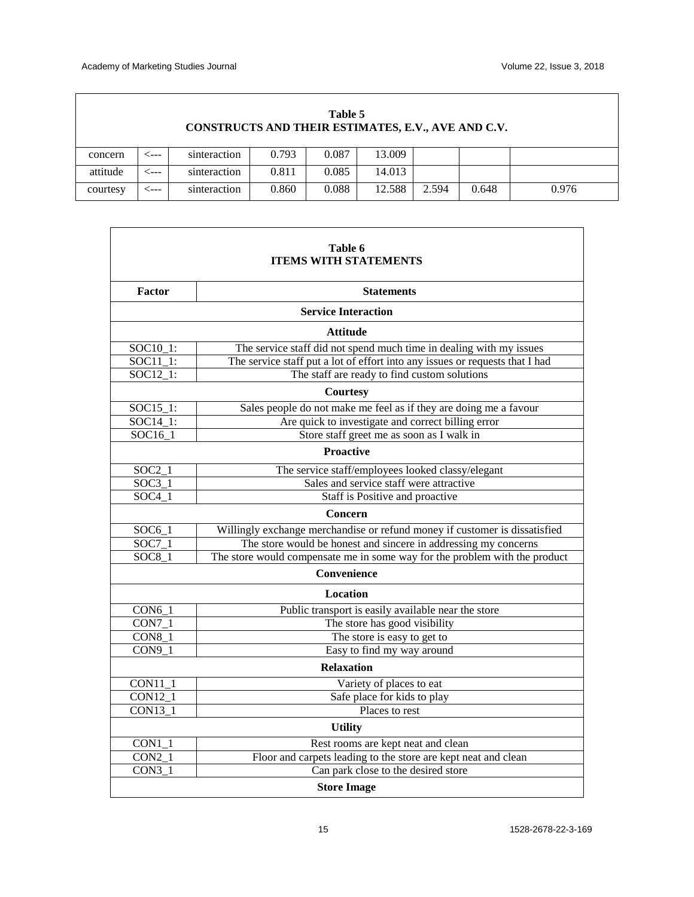$\mathsf I$ 

| Table 5<br>CONSTRUCTS AND THEIR ESTIMATES, E.V., AVE AND C.V. |      |              |       |       |        |       |       |       |  |
|---------------------------------------------------------------|------|--------------|-------|-------|--------|-------|-------|-------|--|
| concern                                                       | <--- | sinteraction | 0.793 | 0.087 | 13.009 |       |       |       |  |
| attitude                                                      | <--- | sinteraction | 0.811 | 0.085 | 14.013 |       |       |       |  |
| courtesy                                                      | ⊂--- | sinteraction | 0.860 | 0.088 | 12.588 | 2.594 | 0.648 | 0.976 |  |

| Table 6<br><b>ITEMS WITH STATEMENTS</b> |                                                                              |  |  |  |  |  |  |  |
|-----------------------------------------|------------------------------------------------------------------------------|--|--|--|--|--|--|--|
|                                         |                                                                              |  |  |  |  |  |  |  |
| Factor                                  | <b>Statements</b>                                                            |  |  |  |  |  |  |  |
|                                         | <b>Service Interaction</b>                                                   |  |  |  |  |  |  |  |
|                                         | <b>Attitude</b>                                                              |  |  |  |  |  |  |  |
| SOC10_1:                                | The service staff did not spend much time in dealing with my issues          |  |  |  |  |  |  |  |
| $SOC11_1$ :                             | The service staff put a lot of effort into any issues or requests that I had |  |  |  |  |  |  |  |
| $SOC12_1$ :                             | The staff are ready to find custom solutions                                 |  |  |  |  |  |  |  |
|                                         | <b>Courtesy</b>                                                              |  |  |  |  |  |  |  |
| $SOC15_1$ :                             | Sales people do not make me feel as if they are doing me a favour            |  |  |  |  |  |  |  |
| SOC14_1:                                | Are quick to investigate and correct billing error                           |  |  |  |  |  |  |  |
| SOC16_1                                 | Store staff greet me as soon as I walk in                                    |  |  |  |  |  |  |  |
|                                         | <b>Proactive</b>                                                             |  |  |  |  |  |  |  |
| $SOC2_1$                                | The service staff/employees looked classy/elegant                            |  |  |  |  |  |  |  |
| $SOC3_1$                                | Sales and service staff were attractive                                      |  |  |  |  |  |  |  |
| $SOC4_1$                                | Staff is Positive and proactive                                              |  |  |  |  |  |  |  |
|                                         | Concern                                                                      |  |  |  |  |  |  |  |
| $SOC6_1$                                | Willingly exchange merchandise or refund money if customer is dissatisfied   |  |  |  |  |  |  |  |
| SOC7 1                                  | The store would be honest and sincere in addressing my concerns              |  |  |  |  |  |  |  |
| $SOC8_1$                                | The store would compensate me in some way for the problem with the product   |  |  |  |  |  |  |  |
|                                         | Convenience                                                                  |  |  |  |  |  |  |  |
|                                         | Location                                                                     |  |  |  |  |  |  |  |
| $CON6_1$                                | Public transport is easily available near the store                          |  |  |  |  |  |  |  |
| $\overline{CON7\_1}$                    | The store has good visibility                                                |  |  |  |  |  |  |  |
| $CON8_1$                                | The store is easy to get to                                                  |  |  |  |  |  |  |  |
| CON9 1                                  | Easy to find my way around                                                   |  |  |  |  |  |  |  |
|                                         | <b>Relaxation</b>                                                            |  |  |  |  |  |  |  |
| CON11_1                                 | Variety of places to eat                                                     |  |  |  |  |  |  |  |
| CON12_1                                 | Safe place for kids to play                                                  |  |  |  |  |  |  |  |
| CON13 1                                 | Places to rest                                                               |  |  |  |  |  |  |  |
|                                         | <b>Utility</b>                                                               |  |  |  |  |  |  |  |
| $CON1_1$                                | Rest rooms are kept neat and clean                                           |  |  |  |  |  |  |  |
| $CON2_1$                                | Floor and carpets leading to the store are kept neat and clean               |  |  |  |  |  |  |  |
| $CON3_1$                                | Can park close to the desired store                                          |  |  |  |  |  |  |  |
|                                         | <b>Store Image</b>                                                           |  |  |  |  |  |  |  |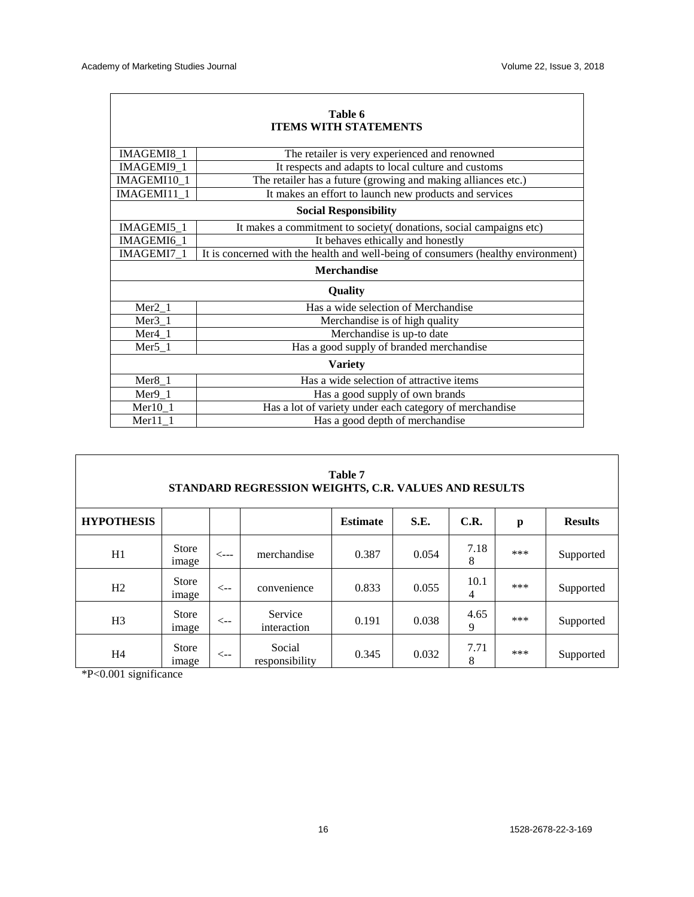| Table 6<br><b>ITEMS WITH STATEMENTS</b> |                                                                                   |  |  |  |  |  |  |  |
|-----------------------------------------|-----------------------------------------------------------------------------------|--|--|--|--|--|--|--|
| IMAGEMI8 1                              | The retailer is very experienced and renowned                                     |  |  |  |  |  |  |  |
| IMAGEMI9_1                              | It respects and adapts to local culture and customs                               |  |  |  |  |  |  |  |
| IMAGEMI10_1                             | The retailer has a future (growing and making alliances etc.)                     |  |  |  |  |  |  |  |
| IMAGEMI11_1                             | It makes an effort to launch new products and services                            |  |  |  |  |  |  |  |
| <b>Social Responsibility</b>            |                                                                                   |  |  |  |  |  |  |  |
| IMAGEMI5 1                              | It makes a commitment to society donations, social campaigns etc)                 |  |  |  |  |  |  |  |
| IMAGEMI6 1                              | It behaves ethically and honestly                                                 |  |  |  |  |  |  |  |
| IMAGEMI7 1                              | It is concerned with the health and well-being of consumers (healthy environment) |  |  |  |  |  |  |  |
|                                         | <b>Merchandise</b>                                                                |  |  |  |  |  |  |  |
|                                         | <b>Quality</b>                                                                    |  |  |  |  |  |  |  |
| $Mer2_1$                                | Has a wide selection of Merchandise                                               |  |  |  |  |  |  |  |
| $Mer3_1$                                | Merchandise is of high quality                                                    |  |  |  |  |  |  |  |
| $Mer4_1$                                | Merchandise is up-to date                                                         |  |  |  |  |  |  |  |
| $Mer5_1$                                | Has a good supply of branded merchandise                                          |  |  |  |  |  |  |  |
|                                         | <b>Variety</b>                                                                    |  |  |  |  |  |  |  |
| $Mer8_1$                                | Has a wide selection of attractive items                                          |  |  |  |  |  |  |  |
| $Mer9_1$                                | Has a good supply of own brands                                                   |  |  |  |  |  |  |  |
| $Mer10_1$                               | Has a lot of variety under each category of merchandise                           |  |  |  |  |  |  |  |
| $Mer11_1$                               | Has a good depth of merchandise                                                   |  |  |  |  |  |  |  |

| Table 7<br>STANDARD REGRESSION WEIGHTS, C.R. VALUES AND RESULTS |                       |                  |                          |                 |       |           |     |                |  |  |
|-----------------------------------------------------------------|-----------------------|------------------|--------------------------|-----------------|-------|-----------|-----|----------------|--|--|
| <b>HYPOTHESIS</b>                                               |                       |                  |                          | <b>Estimate</b> | S.E.  | C.R.      | p   | <b>Results</b> |  |  |
| H1                                                              | <b>Store</b><br>image | $\leftarrow$ --- | merchandise              | 0.387           | 0.054 | 7.18<br>8 | *** | Supported      |  |  |
| H2                                                              | <b>Store</b><br>image | <--              | convenience              | 0.833           | 0.055 | 10.1<br>4 | *** | Supported      |  |  |
| H <sub>3</sub>                                                  | <b>Store</b><br>image | $\leftarrow$     | Service<br>interaction   | 0.191           | 0.038 | 4.65<br>9 | *** | Supported      |  |  |
| H4                                                              | <b>Store</b><br>image | $\leftarrow$     | Social<br>responsibility | 0.345           | 0.032 | 7.71<br>8 | *** | Supported      |  |  |

\*P<0.001 significance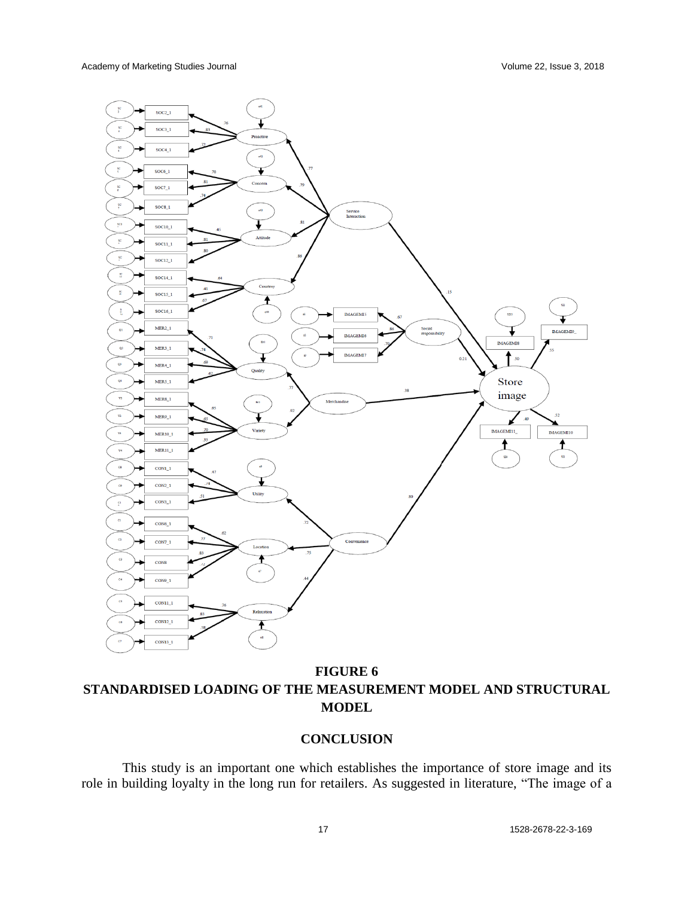

**FIGURE 6 STANDARDISED LOADING OF THE MEASUREMENT MODEL AND STRUCTURAL MODEL**

# **CONCLUSION**

This study is an important one which establishes the importance of store image and its role in building loyalty in the long run for retailers. As suggested in literature, "The image of a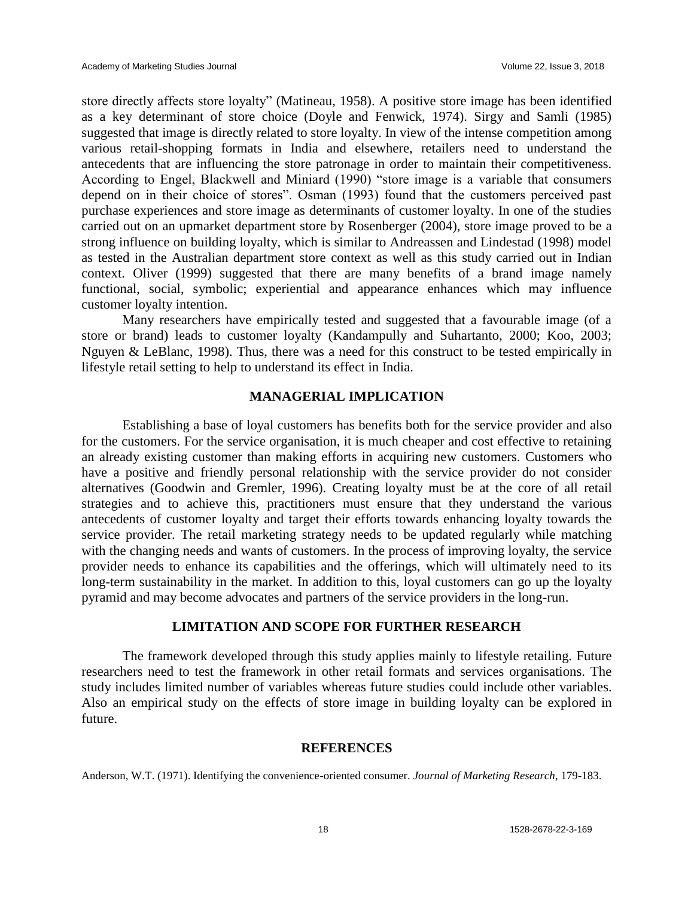store directly affects store loyalty" (Matineau, 1958). A positive store image has been identified as a key determinant of store choice (Doyle and Fenwick, 1974). Sirgy and Samli (1985) suggested that image is directly related to store loyalty. In view of the intense competition among various retail-shopping formats in India and elsewhere, retailers need to understand the antecedents that are influencing the store patronage in order to maintain their competitiveness. According to Engel, Blackwell and Miniard (1990) "store image is a variable that consumers depend on in their choice of stores". Osman (1993) found that the customers perceived past purchase experiences and store image as determinants of customer loyalty. In one of the studies carried out on an upmarket department store by Rosenberger (2004), store image proved to be a strong influence on building loyalty, which is similar to Andreassen and Lindestad (1998) model as tested in the Australian department store context as well as this study carried out in Indian context. Oliver (1999) suggested that there are many benefits of a brand image namely functional, social, symbolic; experiential and appearance enhances which may influence customer loyalty intention.

Many researchers have empirically tested and suggested that a favourable image (of a store or brand) leads to customer loyalty (Kandampully and Suhartanto, 2000; Koo, 2003; Nguyen & LeBlanc, 1998). Thus, there was a need for this construct to be tested empirically in lifestyle retail setting to help to understand its effect in India.

#### **MANAGERIAL IMPLICATION**

Establishing a base of loyal customers has benefits both for the service provider and also for the customers. For the service organisation, it is much cheaper and cost effective to retaining an already existing customer than making efforts in acquiring new customers. Customers who have a positive and friendly personal relationship with the service provider do not consider alternatives (Goodwin and Gremler, 1996). Creating loyalty must be at the core of all retail strategies and to achieve this, practitioners must ensure that they understand the various antecedents of customer loyalty and target their efforts towards enhancing loyalty towards the service provider. The retail marketing strategy needs to be updated regularly while matching with the changing needs and wants of customers. In the process of improving loyalty, the service provider needs to enhance its capabilities and the offerings, which will ultimately need to its long-term sustainability in the market. In addition to this, loyal customers can go up the loyalty pyramid and may become advocates and partners of the service providers in the long-run.

# **LIMITATION AND SCOPE FOR FURTHER RESEARCH**

The framework developed through this study applies mainly to lifestyle retailing. Future researchers need to test the framework in other retail formats and services organisations. The study includes limited number of variables whereas future studies could include other variables. Also an empirical study on the effects of store image in building loyalty can be explored in future.

#### **REFERENCES**

Anderson, W.T. (1971). Identifying the convenience-oriented consumer. *Journal of Marketing Research*, 179-183.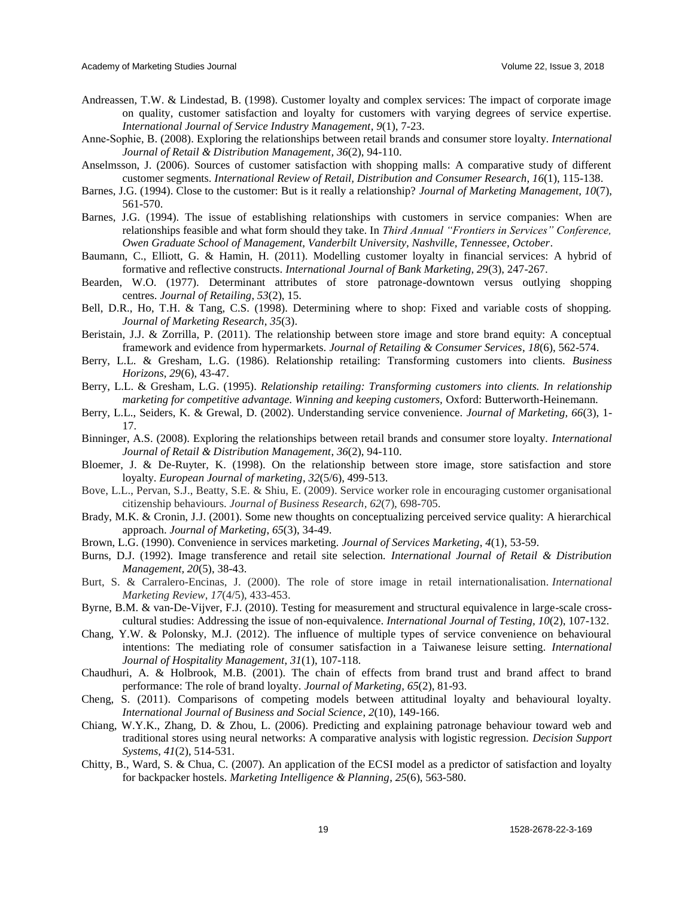- Andreassen, T.W. & Lindestad, B. (1998). Customer loyalty and complex services: The impact of corporate image on quality, customer satisfaction and loyalty for customers with varying degrees of service expertise. *International Journal of Service Industry Management*, *9*(1), 7-23.
- Anne‐Sophie, B. (2008). Exploring the relationships between retail brands and consumer store loyalty. *International Journal of Retail & Distribution Management, 36*(2), 94-110.
- Anselmsson, J. (2006). Sources of customer satisfaction with shopping malls: A comparative study of different customer segments. *International Review of Retail, Distribution and Consumer Research*, *16*(1), 115-138.
- Barnes, J.G. (1994). Close to the customer: But is it really a relationship? *Journal of Marketing Management, 10*(7), 561-570.
- Barnes, J.G. (1994). The issue of establishing relationships with customers in service companies: When are relationships feasible and what form should they take. In *Third Annual "Frontiers in Services" Conference, Owen Graduate School of Management, Vanderbilt University, Nashville, Tennessee, October*.
- Baumann, C., Elliott, G. & Hamin, H. (2011). Modelling customer loyalty in financial services: A hybrid of formative and reflective constructs. *International Journal of Bank Marketing, 29*(3), 247-267.
- Bearden, W.O. (1977). Determinant attributes of store patronage-downtown versus outlying shopping centres. *Journal of Retailing*, *53*(2), 15.
- Bell, D.R., Ho, T.H. & Tang, C.S. (1998). Determining where to shop: Fixed and variable costs of shopping. *Journal of Marketing Research*, *35*(3).
- Beristain, J.J. & Zorrilla, P. (2011). The relationship between store image and store brand equity: A conceptual framework and evidence from hypermarkets. *Journal of Retailing & Consumer Services*, *18*(6), 562-574.
- Berry, L.L. & Gresham, L.G. (1986). Relationship retailing: Transforming customers into clients. *Business Horizons*, *29*(6), 43-47.
- Berry, L.L. & Gresham, L.G. (1995). *Relationship retailing: Transforming customers into clients. In relationship marketing for competitive advantage. Winning and keeping customers,* Oxford: Butterworth-Heinemann.
- Berry, L.L., Seiders, K. & Grewal, D. (2002). Understanding service convenience. *Journal of Marketing, 66*(3), 1- 17.
- Binninger, A.S. (2008). Exploring the relationships between retail brands and consumer store loyalty. *International Journal of Retail & Distribution Management*, *36*(2), 94-110.
- Bloemer, J. & De-Ruyter, K. (1998). On the relationship between store image, store satisfaction and store loyalty. *European Journal of marketing*, *32*(5/6), 499-513.
- Bove, L.L., Pervan, S.J., Beatty, S.E. & Shiu, E. (2009). Service worker role in encouraging customer organisational citizenship behaviours. *Journal of Business Research, 62*(7), 698-705.
- Brady, M.K. & Cronin, J.J. (2001). Some new thoughts on conceptualizing perceived service quality: A hierarchical approach. *Journal of Marketing*, *65*(3), 34-49.
- Brown, L.G. (1990). Convenience in services marketing. *Journal of Services Marketing*, *4*(1), 53-59.
- Burns, D.J. (1992). Image transference and retail site selection. *International Journal of Retail & Distribution Management, 20*(5), 38-43.
- Burt, S. & Carralero-Encinas, J. (2000). The role of store image in retail internationalisation. *International Marketing Review*, *17*(4/5), 433-453.
- Byrne, B.M. & van-De-Vijver, F.J. (2010). Testing for measurement and structural equivalence in large-scale crosscultural studies: Addressing the issue of non-equivalence. *International Journal of Testing, 10*(2), 107-132.
- Chang, Y.W. & Polonsky, M.J. (2012). The influence of multiple types of service convenience on behavioural intentions: The mediating role of consumer satisfaction in a Taiwanese leisure setting. *International Journal of Hospitality Management*, *31*(1), 107-118.
- Chaudhuri, A. & Holbrook, M.B. (2001). The chain of effects from brand trust and brand affect to brand performance: The role of brand loyalty. *Journal of Marketing*, *65*(2), 81-93.
- Cheng, S. (2011). Comparisons of competing models between attitudinal loyalty and behavioural loyalty. *International Journal of Business and Social Science*, *2*(10), 149-166.
- Chiang, W.Y.K., Zhang, D. & Zhou, L. (2006). Predicting and explaining patronage behaviour toward web and traditional stores using neural networks: A comparative analysis with logistic regression. *Decision Support Systems*, *41*(2), 514-531.
- Chitty, B., Ward, S. & Chua, C. (2007). An application of the ECSI model as a predictor of satisfaction and loyalty for backpacker hostels. *Marketing Intelligence & Planning*, *25*(6), 563-580.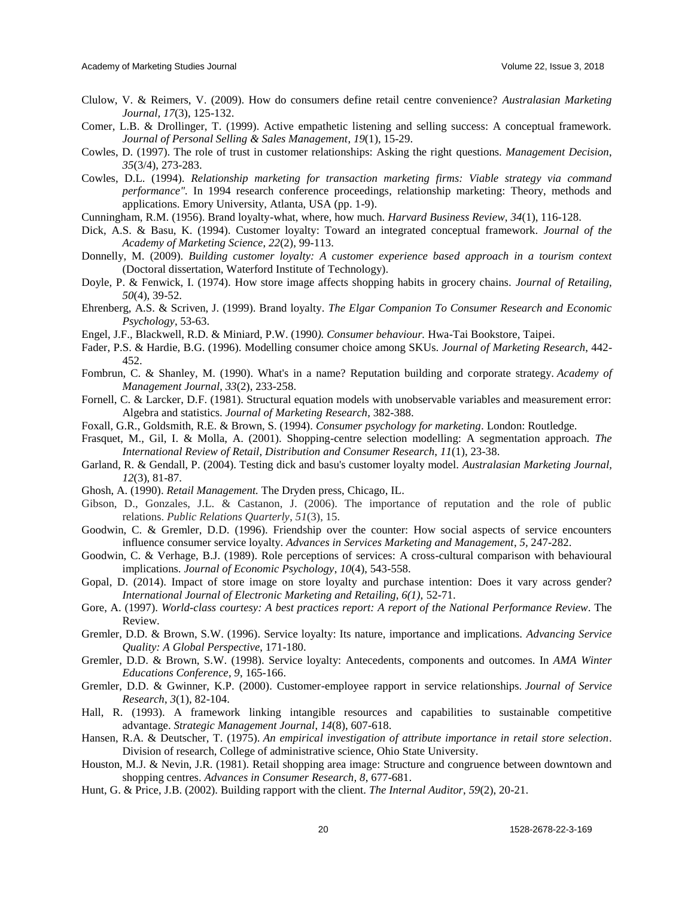- Clulow, V. & Reimers, V. (2009). How do consumers define retail centre convenience? *Australasian Marketing Journal, 17*(3), 125-132.
- Comer, L.B. & Drollinger, T. (1999). Active empathetic listening and selling success: A conceptual framework. *Journal of Personal Selling & Sales Management*, *19*(1), 15-29.
- Cowles, D. (1997). The role of trust in customer relationships: Asking the right questions. *Management Decision*, *35*(3/4), 273-283.
- Cowles, D.L. (1994). *Relationship marketing for transaction marketing firms: Viable strategy via command performance".* In 1994 research conference proceedings, relationship marketing: Theory, methods and applications. Emory University, Atlanta, USA (pp. 1-9).
- Cunningham, R.M. (1956). Brand loyalty-what, where, how much. *Harvard Business Review*, *34*(1), 116-128.
- Dick, A.S. & Basu, K. (1994). Customer loyalty: Toward an integrated conceptual framework*. Journal of the Academy of Marketing Science*, *22*(2), 99-113.
- Donnelly, M. (2009). *Building customer loyalty: A customer experience based approach in a tourism context*  (Doctoral dissertation, Waterford Institute of Technology).
- Doyle, P. & Fenwick, I. (1974). How store image affects shopping habits in grocery chains. *Journal of Retailing, 50*(4), 39-52.
- Ehrenberg, A.S. & Scriven, J. (1999). Brand loyalty. *The Elgar Companion To Consumer Research and Economic Psychology*, 53-63.
- Engel, J.F., Blackwell, R.D. & Miniard, P.W. (1990*). Consumer behaviour.* Hwa-Tai Bookstore, Taipei.
- Fader, P.S. & Hardie, B.G. (1996). Modelling consumer choice among SKUs. *Journal of Marketing Research*, 442- 452.
- Fombrun, C. & Shanley, M. (1990). What's in a name? Reputation building and corporate strategy. *Academy of Management Journal*, *33*(2), 233-258.
- Fornell, C. & Larcker, D.F. (1981). Structural equation models with unobservable variables and measurement error: Algebra and statistics. *Journal of Marketing Research*, 382-388.
- Foxall, G.R., Goldsmith, R.E. & Brown, S. (1994). *Consumer psychology for marketing*. London: Routledge.
- Frasquet, M., Gil, I. & Molla, A. (2001). Shopping-centre selection modelling: A segmentation approach. *The International Review of Retail, Distribution and Consumer Research*, *11*(1), 23-38.
- Garland, R. & Gendall, P. (2004). Testing dick and basu's customer loyalty model. *Australasian Marketing Journal, 12*(3), 81-87.
- Ghosh, A. (1990). *Retail Management.* The Dryden press, Chicago, IL.
- Gibson, D., Gonzales, J.L. & Castanon, J. (2006). The importance of reputation and the role of public relations. *Public Relations Quarterly*, *51*(3), 15.
- Goodwin, C. & Gremler, D.D. (1996). Friendship over the counter: How social aspects of service encounters influence consumer service loyalty. *Advances in Services Marketing and Management*, *5,* 247-282.
- Goodwin, C. & Verhage, B.J. (1989). Role perceptions of services: A cross-cultural comparison with behavioural implications. *Journal of Economic Psychology*, *10*(4), 543-558.
- Gopal, D. (2014). Impact of store image on store loyalty and purchase intention: Does it vary across gender? *International Journal of Electronic Marketing and Retailing, 6(1),* 52-71.
- Gore, A. (1997). *World-class courtesy: A best practices report: A report of the National Performance Review*. The Review.
- Gremler, D.D. & Brown, S.W. (1996). Service loyalty: Its nature, importance and implications. *Advancing Service Quality: A Global Perspective*, 171-180.
- Gremler, D.D. & Brown, S.W. (1998). Service loyalty: Antecedents, components and outcomes. In *AMA Winter Educations Conference*, *9*, 165-166.
- Gremler, D.D. & Gwinner, K.P. (2000). Customer-employee rapport in service relationships. *Journal of Service Research*, *3*(1), 82-104.
- Hall, R. (1993). A framework linking intangible resources and capabilities to sustainable competitive advantage. *Strategic Management Journal*, *14*(8), 607-618.
- Hansen, R.A. & Deutscher, T. (1975). *An empirical investigation of attribute importance in retail store selection*. Division of research, College of administrative science, Ohio State University.
- Houston, M.J. & Nevin, J.R. (1981). Retail shopping area image: Structure and congruence between downtown and shopping centres. *Advances in Consumer Research, 8*, 677-681.
- Hunt, G. & Price, J.B. (2002). Building rapport with the client. *The Internal Auditor*, *59*(2), 20-21.